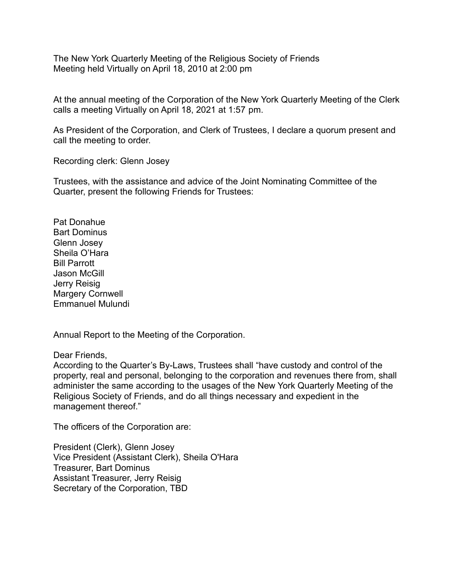The New York Quarterly Meeting of the Religious Society of Friends Meeting held Virtually on April 18, 2010 at 2:00 pm

At the annual meeting of the Corporation of the New York Quarterly Meeting of the Clerk calls a meeting Virtually on April 18, 2021 at 1:57 pm.

As President of the Corporation, and Clerk of Trustees, I declare a quorum present and call the meeting to order.

Recording clerk: Glenn Josey

Trustees, with the assistance and advice of the Joint Nominating Committee of the Quarter, present the following Friends for Trustees:

Pat Donahue Bart Dominus Glenn Josey Sheila O'Hara Bill Parrott Jason McGill Jerry Reisig Margery Cornwell Emmanuel Mulundi

Annual Report to the Meeting of the Corporation.

Dear Friends,

According to the Quarter's By-Laws, Trustees shall "have custody and control of the property, real and personal, belonging to the corporation and revenues there from, shall administer the same according to the usages of the New York Quarterly Meeting of the Religious Society of Friends, and do all things necessary and expedient in the management thereof."

The officers of the Corporation are:

President (Clerk), Glenn Josey Vice President (Assistant Clerk), Sheila O'Hara Treasurer, Bart Dominus Assistant Treasurer, Jerry Reisig Secretary of the Corporation, TBD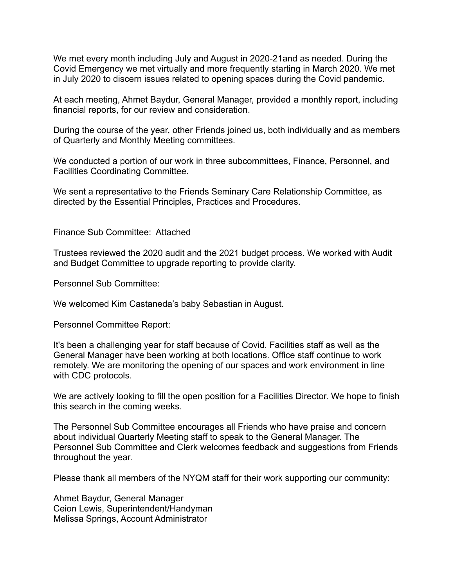We met every month including July and August in 2020-21and as needed. During the Covid Emergency we met virtually and more frequently starting in March 2020. We met in July 2020 to discern issues related to opening spaces during the Covid pandemic.

At each meeting, Ahmet Baydur, General Manager, provided a monthly report, including financial reports, for our review and consideration.

During the course of the year, other Friends joined us, both individually and as members of Quarterly and Monthly Meeting committees.

We conducted a portion of our work in three subcommittees, Finance, Personnel, and Facilities Coordinating Committee.

We sent a representative to the Friends Seminary Care Relationship Committee, as directed by the Essential Principles, Practices and Procedures.

Finance Sub Committee: Attached

Trustees reviewed the 2020 audit and the 2021 budget process. We worked with Audit and Budget Committee to upgrade reporting to provide clarity.

Personnel Sub Committee:

We welcomed Kim Castaneda's baby Sebastian in August.

Personnel Committee Report:

It's been a challenging year for staff because of Covid. Facilities staff as well as the General Manager have been working at both locations. Office staff continue to work remotely. We are monitoring the opening of our spaces and work environment in line with CDC protocols.

We are actively looking to fill the open position for a Facilities Director. We hope to finish this search in the coming weeks.

The Personnel Sub Committee encourages all Friends who have praise and concern about individual Quarterly Meeting staff to speak to the General Manager. The Personnel Sub Committee and Clerk welcomes feedback and suggestions from Friends throughout the year.

Please thank all members of the NYQM staff for their work supporting our community:

Ahmet Baydur, General Manager Ceion Lewis, Superintendent/Handyman Melissa Springs, Account Administrator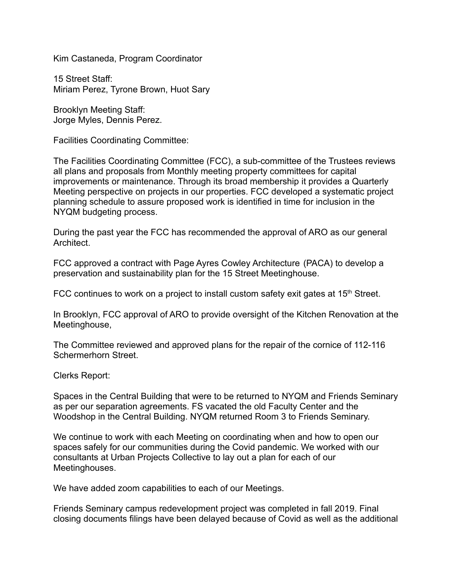Kim Castaneda, Program Coordinator

15 Street Staff: Miriam Perez, Tyrone Brown, Huot Sary

Brooklyn Meeting Staff: Jorge Myles, Dennis Perez.

Facilities Coordinating Committee:

The Facilities Coordinating Committee (FCC), a sub-committee of the Trustees reviews all plans and proposals from Monthly meeting property committees for capital improvements or maintenance. Through its broad membership it provides a Quarterly Meeting perspective on projects in our properties. FCC developed a systematic project planning schedule to assure proposed work is identified in time for inclusion in the NYQM budgeting process.

During the past year the FCC has recommended the approval of ARO as our general Architect.

FCC approved a contract with Page Ayres Cowley Architecture (PACA) to develop a preservation and sustainability plan for the 15 Street Meetinghouse.

FCC continues to work on a project to install custom safety exit gates at  $15<sup>th</sup>$  Street.

In Brooklyn, FCC approval of ARO to provide oversight of the Kitchen Renovation at the Meetinghouse,

The Committee reviewed and approved plans for the repair of the cornice of 112-116 Schermerhorn Street.

Clerks Report:

Spaces in the Central Building that were to be returned to NYQM and Friends Seminary as per our separation agreements. FS vacated the old Faculty Center and the Woodshop in the Central Building. NYQM returned Room 3 to Friends Seminary.

We continue to work with each Meeting on coordinating when and how to open our spaces safely for our communities during the Covid pandemic. We worked with our consultants at Urban Projects Collective to lay out a plan for each of our Meetinghouses.

We have added zoom capabilities to each of our Meetings.

Friends Seminary campus redevelopment project was completed in fall 2019. Final closing documents filings have been delayed because of Covid as well as the additional